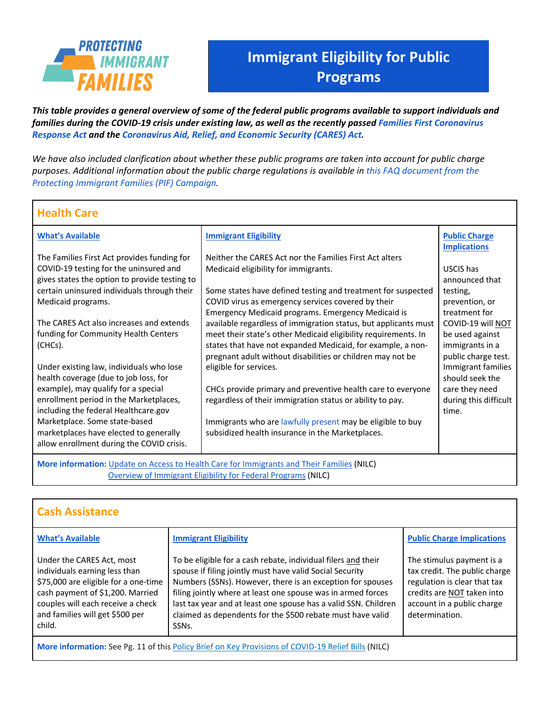

## **Immigrant Eligibility for Public During Coverant Cover**

*This table provides a general overview of some of the federal public programs available to support individuals and families during the COVID-19 crisis under existing law, as well as the recently passed Families First Coronavirus Response Act and the Coronavirus Aid, Relief, and Economic Security (CARES) Act.* **During COVID-19**

*We have also included clarification about whether these public programs are taken into account for public charge purposes. Additional information about the public charge regulations is available in this FAQ document from the Protecting Immigrant Families (PIF) Campaign.* 

## **Health Care**

| <b>What's Available</b>                                                                    | <b>Immigrant Eligibility</b>                                    | <b>Public Charge</b>  |  |  |  |
|--------------------------------------------------------------------------------------------|-----------------------------------------------------------------|-----------------------|--|--|--|
|                                                                                            |                                                                 | <b>Implications</b>   |  |  |  |
| The Families First Act provides funding for                                                | Neither the CARES Act nor the Families First Act alters         |                       |  |  |  |
| COVID-19 testing for the uninsured and                                                     | Medicaid eligibility for immigrants.                            | USCIS has             |  |  |  |
| gives states the option to provide testing to                                              |                                                                 | announced that        |  |  |  |
| certain uninsured individuals through their                                                | Some states have defined testing and treatment for suspected    | testing,              |  |  |  |
| Medicaid programs.                                                                         | COVID virus as emergency services covered by their              | prevention, or        |  |  |  |
|                                                                                            | <b>Emergency Medicaid programs. Emergency Medicaid is</b>       | treatment for         |  |  |  |
| The CARES Act also increases and extends                                                   | available regardless of immigration status, but applicants must | COVID-19 will NOT     |  |  |  |
| funding for Community Health Centers                                                       | meet their state's other Medicaid eligibility requirements. In  | be used against       |  |  |  |
| (CHCs).                                                                                    | states that have not expanded Medicaid, for example, a non-     | immigrants in a       |  |  |  |
|                                                                                            | pregnant adult without disabilities or children may not be      | public charge test.   |  |  |  |
| Under existing law, individuals who lose                                                   | eligible for services.                                          | Immigrant families    |  |  |  |
| health coverage (due to job loss, for                                                      |                                                                 | should seek the       |  |  |  |
| example), may qualify for a special                                                        | CHCs provide primary and preventive health care to everyone     | care they need        |  |  |  |
| enrollment period in the Marketplaces,                                                     | regardless of their immigration status or ability to pay.       | during this difficult |  |  |  |
| including the federal Healthcare.gov                                                       |                                                                 | time.                 |  |  |  |
| Marketplace. Some state-based                                                              | Immigrants who are lawfully present may be eligible to buy      |                       |  |  |  |
| marketplaces have elected to generally                                                     | subsidized health insurance in the Marketplaces.                |                       |  |  |  |
| allow enrollment during the COVID crisis.                                                  |                                                                 |                       |  |  |  |
| More information: Update on Access to Health Care for Immigrants and Their Families (NILC) |                                                                 |                       |  |  |  |
| Overview of Immigrant Eligibility for Federal Programs (NILC)                              |                                                                 |                       |  |  |  |

| <b>Cash Assistance</b>                                                                                                                                                                                                   |                                                                                                                                                                                                                                                                                                                                                                                                                |                                                                                                                                                                          |  |  |
|--------------------------------------------------------------------------------------------------------------------------------------------------------------------------------------------------------------------------|----------------------------------------------------------------------------------------------------------------------------------------------------------------------------------------------------------------------------------------------------------------------------------------------------------------------------------------------------------------------------------------------------------------|--------------------------------------------------------------------------------------------------------------------------------------------------------------------------|--|--|
| <b>What's Available</b>                                                                                                                                                                                                  | <b>Immigrant Eligibility</b>                                                                                                                                                                                                                                                                                                                                                                                   | <b>Public Charge Implications</b>                                                                                                                                        |  |  |
| Under the CARES Act, most<br>individuals earning less than<br>\$75,000 are eligible for a one-time<br>cash payment of \$1,200. Married<br>couples will each receive a check<br>and families will get \$500 per<br>child. | To be eligible for a cash rebate, individual filers and their<br>spouse if filing jointly must have valid Social Security<br>Numbers (SSNs). However, there is an exception for spouses<br>filing jointly where at least one spouse was in armed forces<br>last tax year and at least one spouse has a valid SSN. Children<br>claimed as dependents for the \$500 rebate must have valid<br>SSN <sub>s</sub> . | The stimulus payment is a<br>tax credit. The public charge<br>regulation is clear that tax<br>credits are NOT taken into<br>account in a public charge<br>determination. |  |  |
| More information: See Pg. 11 of this Policy Brief on Key Provisions of COVID-19 Relief Bills (NILC)                                                                                                                      |                                                                                                                                                                                                                                                                                                                                                                                                                |                                                                                                                                                                          |  |  |